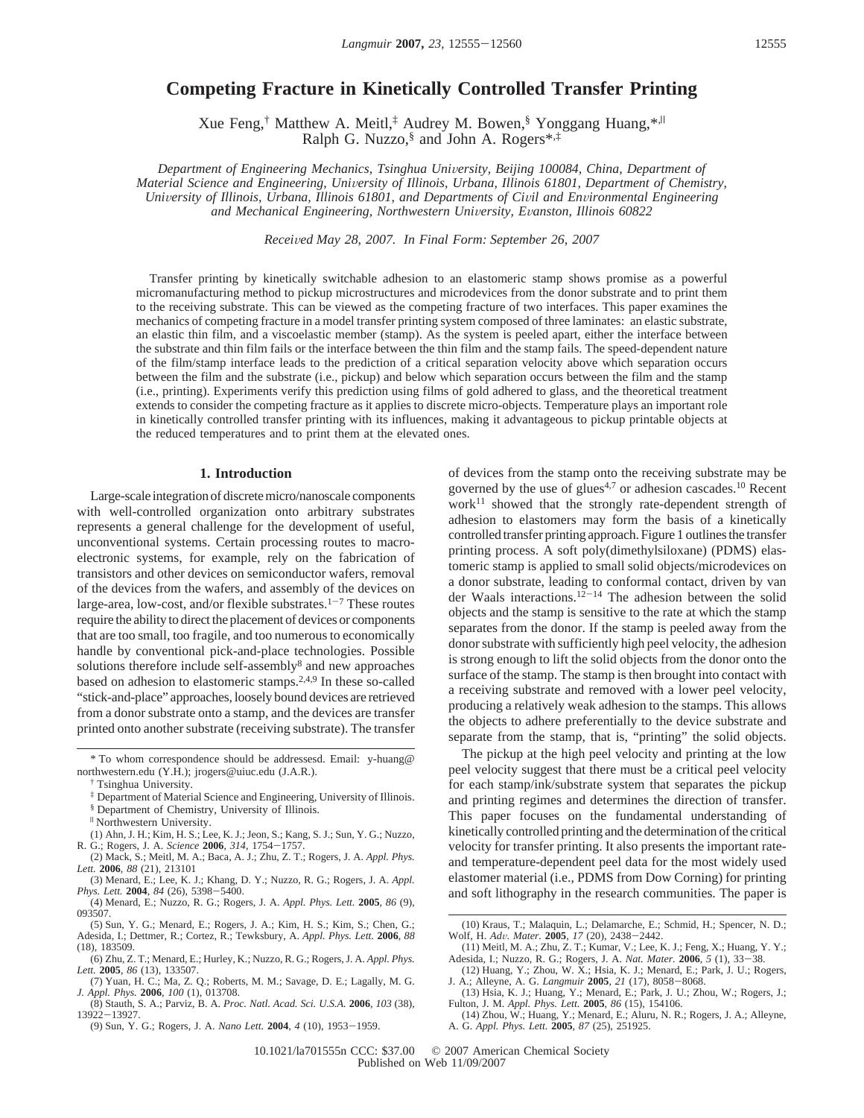# **Competing Fracture in Kinetically Controlled Transfer Printing**

Xue Feng,<sup>†</sup> Matthew A. Meitl,<sup>‡</sup> Audrey M. Bowen,<sup>§</sup> Yonggang Huang,\*<sup>,||</sup> Ralph G. Nuzzo, $§$  and John A. Rogers<sup>\*,‡</sup>

*Department of Engineering Mechanics, Tsinghua Uni*V*ersity, Beijing 100084, China, Department of Material Science and Engineering, Uni*V*ersity of Illinois, Urbana, Illinois 61801, Department of Chemistry, University of Illinois, Urbana, Illinois 61801, and Departments of Civil and Environmental Engineering and Mechanical Engineering, Northwestern Uni*V*ersity, E*V*anston, Illinois 60822*

*Recei*V*ed May 28, 2007. In Final Form: September 26, 2007*

Transfer printing by kinetically switchable adhesion to an elastomeric stamp shows promise as a powerful micromanufacturing method to pickup microstructures and microdevices from the donor substrate and to print them to the receiving substrate. This can be viewed as the competing fracture of two interfaces. This paper examines the mechanics of competing fracture in a model transfer printing system composed of three laminates: an elastic substrate, an elastic thin film, and a viscoelastic member (stamp). As the system is peeled apart, either the interface between the substrate and thin film fails or the interface between the thin film and the stamp fails. The speed-dependent nature of the film/stamp interface leads to the prediction of a critical separation velocity above which separation occurs between the film and the substrate (i.e., pickup) and below which separation occurs between the film and the stamp (i.e., printing). Experiments verify this prediction using films of gold adhered to glass, and the theoretical treatment extends to consider the competing fracture as it applies to discrete micro-objects. Temperature plays an important role in kinetically controlled transfer printing with its influences, making it advantageous to pickup printable objects at the reduced temperatures and to print them at the elevated ones.

#### **1. Introduction**

Large-scale integration of discrete micro/nanoscale components with well-controlled organization onto arbitrary substrates represents a general challenge for the development of useful, unconventional systems. Certain processing routes to macroelectronic systems, for example, rely on the fabrication of transistors and other devices on semiconductor wafers, removal of the devices from the wafers, and assembly of the devices on large-area, low-cost, and/or flexible substrates. $1-7$  These routes require the ability to direct the placement of devices or components that are too small, too fragile, and too numerous to economically handle by conventional pick-and-place technologies. Possible solutions therefore include self-assembly<sup>8</sup> and new approaches based on adhesion to elastomeric stamps.2,4,9 In these so-called "stick-and-place" approaches, loosely bound devices are retrieved from a donor substrate onto a stamp, and the devices are transfer printed onto another substrate (receiving substrate). The transfer

- § Department of Chemistry, University of Illinois.
- <sup>|</sup> Northwestern University.
- (1) Ahn, J. H.; Kim, H. S.; Lee, K. J.; Jeon, S.; Kang, S. J.; Sun, Y. G.; Nuzzo, R. G.; Rogers, J. A. *Science* **<sup>2006</sup>**, *<sup>314</sup>*, 1754-1757.
- (2) Mack, S.; Meitl, M. A.; Baca, A. J.; Zhu, Z. T.; Rogers, J. A. *Appl. Phys. Lett.* **2006**, *88* (21), 213101
- (3) Menard, E.; Lee, K. J.; Khang, D. Y.; Nuzzo, R. G.; Rogers, J. A. *Appl. Phys. Lett.* **<sup>2004</sup>**, *<sup>84</sup>* (26), 5398-5400.
- (4) Menard, E.; Nuzzo, R. G.; Rogers, J. A. *Appl. Phys. Lett.* **2005**, *86* (9), 093507.
- (5) Sun, Y. G.; Menard, E.; Rogers, J. A.; Kim, H. S.; Kim, S.; Chen, G.; Adesida, I.; Dettmer, R.; Cortez, R.; Tewksbury, A. *Appl. Phys. Lett.* **2006**, *88* (18), 183509.
- (6) Zhu, Z. T.; Menard, E.; Hurley, K.; Nuzzo, R. G.; Rogers, J. A. *Appl. Phys.*
- *Lett.* **2005**, *86* (13), 133507. (7) Yuan, H. C.; Ma, Z. Q.; Roberts, M. M.; Savage, D. E.; Lagally, M. G. *J. Appl. Phys.* **2006**, *100* (1), 013708. (8) Stauth, S. A.; Parviz, B. A. *Proc. Natl. Acad. Sci. U.S.A.* **2006**, *103* (38),
- <sup>13922</sup>-13927. (9) Sun, Y. G.; Rogers, J. A. *Nano Lett.* **<sup>2004</sup>**, *<sup>4</sup>* (10), 1953-1959.
	-

of devices from the stamp onto the receiving substrate may be governed by the use of glues<sup>4,7</sup> or adhesion cascades.<sup>10</sup> Recent work<sup>11</sup> showed that the strongly rate-dependent strength of adhesion to elastomers may form the basis of a kinetically controlled transfer printing approach. Figure 1 outlines the transfer printing process. A soft poly(dimethylsiloxane) (PDMS) elastomeric stamp is applied to small solid objects/microdevices on a donor substrate, leading to conformal contact, driven by van der Waals interactions.<sup>12-14</sup> The adhesion between the solid objects and the stamp is sensitive to the rate at which the stamp separates from the donor. If the stamp is peeled away from the donor substrate with sufficiently high peel velocity, the adhesion is strong enough to lift the solid objects from the donor onto the surface of the stamp. The stamp is then brought into contact with a receiving substrate and removed with a lower peel velocity, producing a relatively weak adhesion to the stamps. This allows the objects to adhere preferentially to the device substrate and separate from the stamp, that is, "printing" the solid objects.

The pickup at the high peel velocity and printing at the low peel velocity suggest that there must be a critical peel velocity for each stamp/ink/substrate system that separates the pickup and printing regimes and determines the direction of transfer. This paper focuses on the fundamental understanding of kinetically controlled printing and the determination of the critical velocity for transfer printing. It also presents the important rateand temperature-dependent peel data for the most widely used elastomer material (i.e., PDMS from Dow Corning) for printing and soft lithography in the research communities. The paper is

<sup>\*</sup> To whom correspondence should be addressesd. Email: y-huang@ northwestern.edu (Y.H.); jrogers@uiuc.edu (J.A.R.).

<sup>†</sup> Tsinghua University.

<sup>‡</sup> Department of Material Science and Engineering, University of Illinois.

<sup>(10)</sup> Kraus, T.; Malaquin, L.; Delamarche, E.; Schmid, H.; Spencer, N. D.; Wolf, H. Adv. Mater. 2005, 17 (20), 2438-2442.

Wolf, H. *Adv. Mater.* **2005**, 17 (20), 2438–2442.<br>(11) Meitl, M. A.; Zhu, Z. T.; Kumar, V.; Lee, K. J.; Feng, X.; Huang, Y. Y.;<br>Adesida, L.; Nuzzo, R. G.; Rogers, J. A. *Nat. Mater.* **2006**, 5 (1), 33–38.<br>(12) Huang Y. Zh

<sup>(12)</sup> Huang, Y.; Zhou, W. X.; Hsia, K. J.; Menard, E.; Park, J. U.; Rogers, J. A.; Alleyne, A. G. *Langmuir* 2005, 21 (17), 8058–8068.

J. A.; Alleyne, A. G. *Langmuir* 2005, 21 (17), 8058–8068.<br>(13) Hsia, K. J.; Huang, Y.; Menard, E.; Park, J. U.; Zhou, W.; Rogers, J.;<br>Fulton, J. M. *Appl. Phys. Lett.* 2005, 86 (15), 154106.

<sup>(14)</sup> Zhou, W.; Huang, Y.; Menard, E.; Aluru, N. R.; Rogers, J. A.; Alleyne, A. G. *Appl. Phys. Lett.* **2005**, *87* (25), 251925.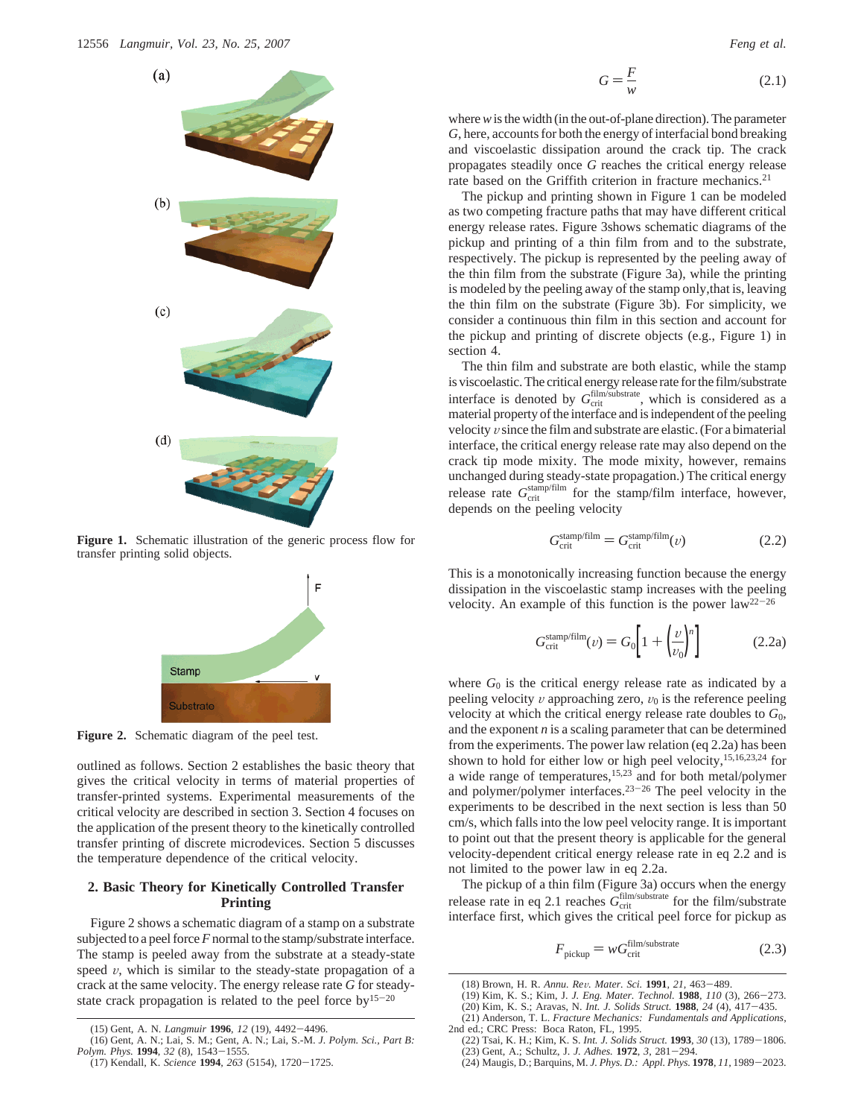

**Figure 1.** Schematic illustration of the generic process flow for transfer printing solid objects.



**Figure 2.** Schematic diagram of the peel test.

outlined as follows. Section 2 establishes the basic theory that gives the critical velocity in terms of material properties of transfer-printed systems. Experimental measurements of the critical velocity are described in section 3. Section 4 focuses on the application of the present theory to the kinetically controlled transfer printing of discrete microdevices. Section 5 discusses the temperature dependence of the critical velocity.

### **2. Basic Theory for Kinetically Controlled Transfer Printing**

Figure 2 shows a schematic diagram of a stamp on a substrate subjected to a peel force *F* normal to the stamp/substrate interface. The stamp is peeled away from the substrate at a steady-state speed  $v$ , which is similar to the steady-state propagation of a crack at the same velocity. The energy release rate *G* for steadystate crack propagation is related to the peel force by<sup>15-20</sup>

$$
G = \frac{F}{w} \tag{2.1}
$$

where *w* is the width (in the out-of-plane direction). The parameter *G*, here, accounts for both the energy of interfacial bond breaking and viscoelastic dissipation around the crack tip. The crack propagates steadily once *G* reaches the critical energy release rate based on the Griffith criterion in fracture mechanics.<sup>21</sup>

The pickup and printing shown in Figure 1 can be modeled as two competing fracture paths that may have different critical energy release rates. Figure 3shows schematic diagrams of the pickup and printing of a thin film from and to the substrate, respectively. The pickup is represented by the peeling away of the thin film from the substrate (Figure 3a), while the printing is modeled by the peeling away of the stamp only,that is, leaving the thin film on the substrate (Figure 3b). For simplicity, we consider a continuous thin film in this section and account for the pickup and printing of discrete objects (e.g., Figure 1) in section 4.

The thin film and substrate are both elastic, while the stamp is viscoelastic. The critical energy release rate for the film/substrate interface is denoted by  $G_{\text{crit}}^{\text{film/substrate}}$ , which is considered as a material property of the interface and is independent of the peeling velocity  $v$  since the film and substrate are elastic. (For a bimaterial interface, the critical energy release rate may also depend on the crack tip mode mixity. The mode mixity, however, remains unchanged during steady-state propagation.) The critical energy release rate  $G_{\text{crit}}^{\text{stamp/film}}$  for the stamp/film interface, however, depends on the peeling velocity

$$
G_{\text{crit}}^{\text{stamp/film}} = G_{\text{crit}}^{\text{stamp/film}}(v) \tag{2.2}
$$

This is a monotonically increasing function because the energy dissipation in the viscoelastic stamp increases with the peeling velocity. An example of this function is the power  $law^{22-26}$ 

$$
G_{\rm crit}^{\rm stamp/film}(\nu) = G_0 \left[ 1 + \left( \frac{\nu}{\nu_0} \right)^n \right] \tag{2.2a}
$$

where  $G_0$  is the critical energy release rate as indicated by a peeling velocity  $v$  approaching zero,  $v_0$  is the reference peeling velocity at which the critical energy release rate doubles to  $G_0$ , and the exponent *n* is a scaling parameter that can be determined from the experiments. The power law relation (eq 2.2a) has been shown to hold for either low or high peel velocity,<sup>15,16,23,24</sup> for a wide range of temperatures,<sup>15,23</sup> and for both metal/polymer and polymer/polymer interfaces.23-<sup>26</sup> The peel velocity in the experiments to be described in the next section is less than 50 cm/s, which falls into the low peel velocity range. It is important to point out that the present theory is applicable for the general velocity-dependent critical energy release rate in eq 2.2 and is not limited to the power law in eq 2.2a.

The pickup of a thin film (Figure 3a) occurs when the energy release rate in eq 2.1 reaches  $G_{\text{crit}}^{\text{film/substrate}}$  for the film/substrate interface first, which gives the critical peel force for pickup as

$$
F_{\text{pickup}} = w G_{\text{crit}}^{\text{film/substrate}} \tag{2.3}
$$

- (18) Brown, H. R. *Annu. Re*V*. Mater. Sci.* **<sup>1991</sup>**, *<sup>21</sup>*, 463-489. (19) Kim, K. S.; Kim, J. *J. Eng. Mater. Technol.* **<sup>1988</sup>**, *<sup>110</sup>* (3), 266-273.
- (20) Kim, K. S.; Aravas, N. *Int. J. Solids Struct.* **<sup>1988</sup>**, *<sup>24</sup>* (4), 417-435.
- (21) Anderson, T. L. *Fracture Mechanics: Fundamentals and Applications*, 2nd ed.; CRC Press: Boca Raton, FL, 1995.
	- (22) Tsai, K. H.; Kim, K. S. *Int. J. Solids Struct.* **<sup>1993</sup>**, *<sup>30</sup>* (13), 1789-1806. (23) Gent, A.; Schultz, J. *J. Adhes.* **<sup>1972</sup>**, *<sup>3</sup>*, 281-294.
- 
- (24) Maugis, D.; Barquins, M. *J. Phys. D.: Appl. Phys.* **<sup>1978</sup>**, *<sup>11</sup>*, 1989-2023.

<sup>(15)</sup> Gent, A. N. *Langmuir* **<sup>1996</sup>**, *<sup>12</sup>* (19), 4492-4496. (16) Gent, A. N.; Lai, S. M.; Gent, A. N.; Lai, S.-M. *J. Polym. Sci., Part B: Polym. Phys.* **<sup>1994</sup>**, *<sup>32</sup>* (8), 1543-1555. (17) Kendall, K. *Science* **<sup>1994</sup>**, *<sup>263</sup>* (5154), 1720-1725.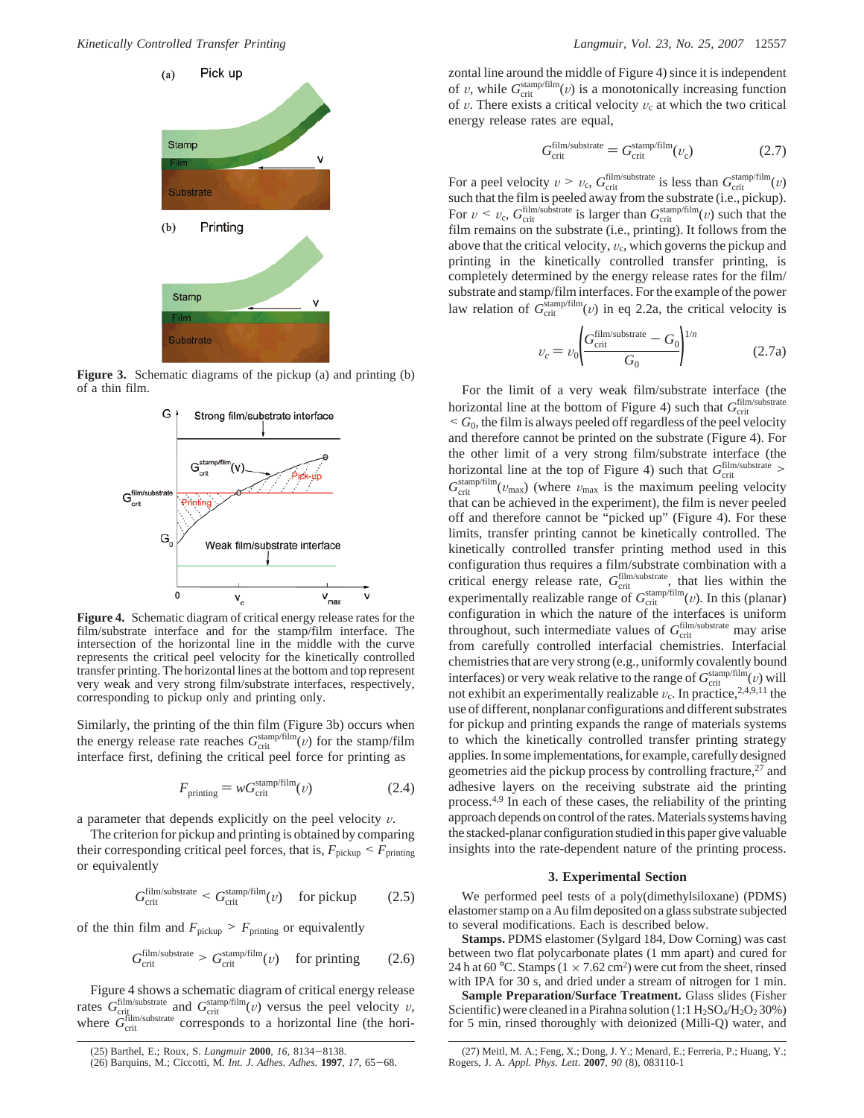

**Figure 3.** Schematic diagrams of the pickup (a) and printing (b) of a thin film.



**Figure 4.** Schematic diagram of critical energy release rates for the film/substrate interface and for the stamp/film interface. The intersection of the horizontal line in the middle with the curve represents the critical peel velocity for the kinetically controlled transfer printing. The horizontal lines at the bottom and top represent very weak and very strong film/substrate interfaces, respectively, corresponding to pickup only and printing only.

Similarly, the printing of the thin film (Figure 3b) occurs when the energy release rate reaches  $G_{\text{crit}}^{\text{stamp/film}}(v)$  for the stamp/film<br>interface first defining the critical neel force for printing as interface first, defining the critical peel force for printing as

$$
F_{\text{printing}} = w G_{\text{crit}}^{\text{stamp/film}}(v) \tag{2.4}
$$

a parameter that depends explicitly on the peel velocity  $\nu$ .

The criterion for pickup and printing is obtained by comparing their corresponding critical peel forces, that is,  $F_{\text{pickup}} < F_{\text{printing}}$ or equivalently

$$
G_{\text{crit}}^{\text{film/substrate}} < G_{\text{crit}}^{\text{stamp/film}}(\nu) \quad \text{for pickup} \tag{2.5}
$$

of the thin film and  $F_{\text{pickup}} > F_{\text{printing}}$  or equivalently

$$
G_{\text{crit}}^{\text{film/substrate}} > G_{\text{crit}}^{\text{stamp/film}}(v) \quad \text{for printing} \tag{2.6}
$$

Figure 4 shows a schematic diagram of critical energy release rates  $G_{\text{crit}}^{\text{film/substrate}}$  and  $G_{\text{crit}}^{\text{stamp/film}}(v)$  versus the peel velocity  $v$ , where  $G_{\text{crit}}^{\text{film/substrate}}$  corresponds to a horizontal line (the hori-

zontal line around the middle of Figure 4) since it is independent of v, while  $G_{\text{crit}}^{\text{stamp/film}}(v)$  is a monotonically increasing function<br>of v. There exists a critical velocity v, at which the two critical of  $v$ . There exists a critical velocity  $v_c$  at which the two critical energy release rates are equal,

$$
G_{\rm crit}^{\rm film/substrate} = G_{\rm crit}^{\rm stamp/film}(v_{\rm c})
$$
 (2.7)

For a peel velocity  $v > v_c$ ,  $G_{\text{crit}}^{\text{film/substrate}}$  is less than  $G_{\text{crit}}^{\text{stamp/film}}(v)$  such that the film is peeled away from the substrate (i.e., pickup). For  $v < v_{\rm c}$ ,  $G_{\rm crit}^{\rm film/substrate}$  is larger than  $G_{\rm crit}^{\rm stamp/film}(v)$  such that the film remains on the substrate (i.e., printing). It follows from the film remains on the substrate (i.e., printing). It follows from the above that the critical velocity,  $v_c$ , which governs the pickup and printing in the kinetically controlled transfer printing, is completely determined by the energy release rates for the film/ substrate and stamp/film interfaces. For the example of the power law relation of  $G_{\text{crit}}^{\text{stamp/film}}(v)$  in eq 2.2a, the critical velocity is

$$
v_c = v_0 \left( \frac{G_{\text{crit}}^{\text{film/substrate}} - G_0}{G_0} \right)^{1/n}
$$
 (2.7a)

For the limit of a very weak film/substrate interface (the horizontal line at the bottom of Figure 4) such that  $G_{\text{crit}}^{\text{film}/\text{substrate}}$  $<$   $G<sub>0</sub>$ , the film is always peeled off regardless of the peel velocity and therefore cannot be printed on the substrate (Figure 4). For the other limit of a very strong film/substrate interface (the horizontal line at the top of Figure 4) such that  $G<sub>crit</sub><sup>film/substrate</sup>$  $G_{\text{crit}}^{\text{stamp/film}}(v_{\text{max}})$  (where  $v_{\text{max}}$  is the maximum peeling velocity<br>that can be achieved in the experiment) the film is never peeled that can be achieved in the experiment), the film is never peeled off and therefore cannot be "picked up" (Figure 4). For these limits, transfer printing cannot be kinetically controlled. The kinetically controlled transfer printing method used in this configuration thus requires a film/substrate combination with a critical energy release rate,  $G_{\text{crit}}^{\text{film/substrate}}$ , that lies within the experimentally realizable range of  $G_{\text{cent}}^{\text{stamp/film}}(v)$ . In this (planar) configuration in which the nature of the interfaces is uniform configuration in which the nature of the interfaces is uniform throughout, such intermediate values of  $G_{\text{crit}}^{\text{film/substrate}}$  may arise from carefully controlled interfacial chemistries. Interfacial chemistries that are very strong (e.g., uniformly covalently bound interfaces) or very weak relative to the range of  $G_{\text{crit}}^{\text{stamp/film}}(v)$  will<br>not exhibit an experimentally realizable v. In practice <sup>2,4,9,11</sup> the not exhibit an experimentally realizable  $v_c$ . In practice,  $2,4,9,11$  the use of different, nonplanar configurations and different substrates for pickup and printing expands the range of materials systems to which the kinetically controlled transfer printing strategy applies. In some implementations, for example, carefully designed geometries aid the pickup process by controlling fracture,  $27$  and adhesive layers on the receiving substrate aid the printing process.4,9 In each of these cases, the reliability of the printing approach depends on control of the rates. Materials systems having the stacked-planar configuration studied in this paper give valuable insights into the rate-dependent nature of the printing process.

#### **3. Experimental Section**

We performed peel tests of a poly(dimethylsiloxane) (PDMS) elastomer stamp on a Au film deposited on a glass substrate subjected to several modifications. Each is described below.

**Stamps.** PDMS elastomer (Sylgard 184, Dow Corning) was cast between two flat polycarbonate plates (1 mm apart) and cured for 24 h at 60 °C. Stamps ( $1 \times 7.62$  cm<sup>2</sup>) were cut from the sheet, rinsed with IPA for 30 s, and dried under a stream of nitrogen for 1 min.

**Sample Preparation/Surface Treatment.** Glass slides (Fisher Scientific) were cleaned in a Pirahna solution (1:1  $H_2SO_4/H_2O_2$  30%) for 5 min, rinsed thoroughly with deionized (Milli-Q) water, and

<sup>(25)</sup> Barthel, E.; Roux, S. *Langmuir* **<sup>2000</sup>**, *<sup>16</sup>*, 8134-8138. (26) Barquins, M.; Ciccotti, M. *Int. J. Adhes. Adhes.* **<sup>1997</sup>**, *<sup>17</sup>*, 65-68.

<sup>(27)</sup> Meitl, M. A.; Feng, X.; Dong, J. Y.; Menard, E.; Ferreria, P.; Huang, Y.; Rogers, J. A. *Appl. Phys. Lett*. **2007**, *90* (8), 083110-1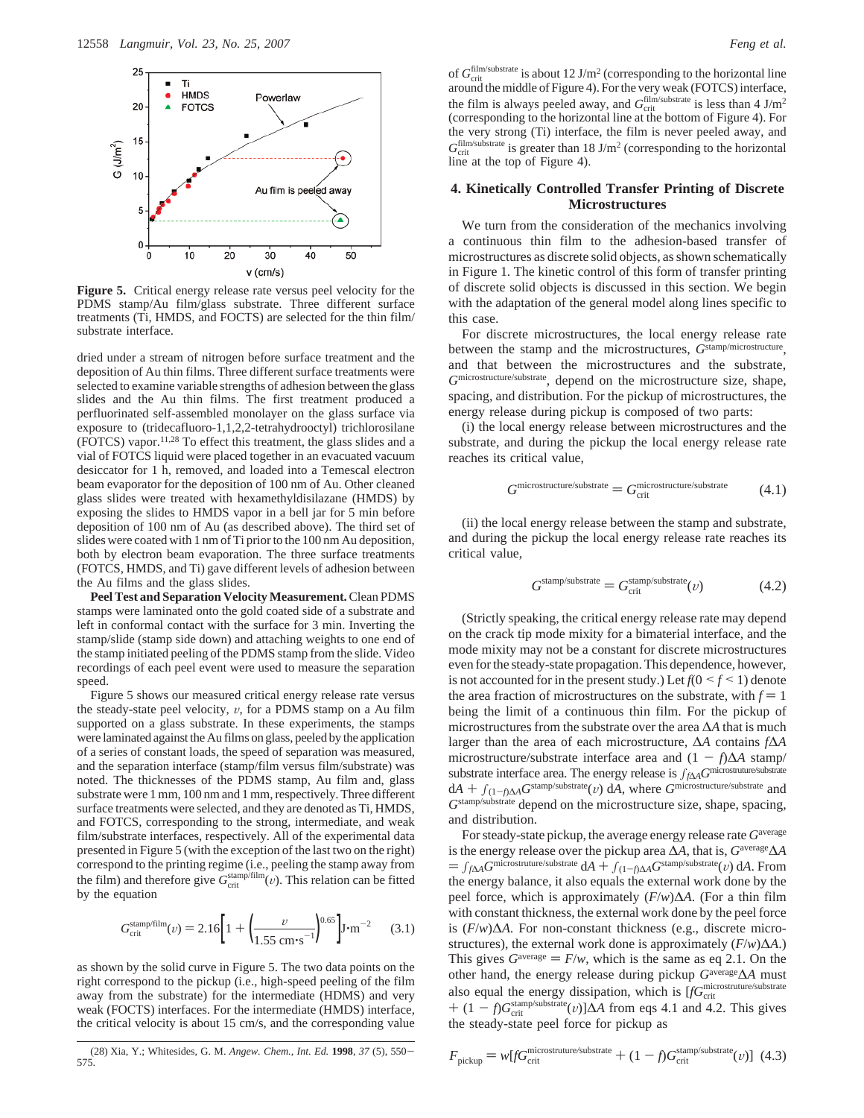

**Figure 5.** Critical energy release rate versus peel velocity for the PDMS stamp/Au film/glass substrate. Three different surface treatments (Ti, HMDS, and FOCTS) are selected for the thin film/ substrate interface.

dried under a stream of nitrogen before surface treatment and the deposition of Au thin films. Three different surface treatments were selected to examine variable strengths of adhesion between the glass slides and the Au thin films. The first treatment produced a perfluorinated self-assembled monolayer on the glass surface via exposure to (tridecafluoro-1,1,2,2-tetrahydrooctyl) trichlorosilane (FOTCS) vapor.11,28 To effect this treatment, the glass slides and a vial of FOTCS liquid were placed together in an evacuated vacuum desiccator for 1 h, removed, and loaded into a Temescal electron beam evaporator for the deposition of 100 nm of Au. Other cleaned glass slides were treated with hexamethyldisilazane (HMDS) by exposing the slides to HMDS vapor in a bell jar for 5 min before deposition of 100 nm of Au (as described above). The third set of slides were coated with 1 nm of Ti prior to the 100 nm Au deposition, both by electron beam evaporation. The three surface treatments (FOTCS, HMDS, and Ti) gave different levels of adhesion between the Au films and the glass slides.

**Peel Test and Separation Velocity Measurement.**Clean PDMS stamps were laminated onto the gold coated side of a substrate and left in conformal contact with the surface for 3 min. Inverting the stamp/slide (stamp side down) and attaching weights to one end of the stamp initiated peeling of the PDMS stamp from the slide. Video recordings of each peel event were used to measure the separation speed.

Figure 5 shows our measured critical energy release rate versus the steady-state peel velocity,  $v$ , for a PDMS stamp on a Au film supported on a glass substrate. In these experiments, the stamps were laminated against the Au films on glass, peeled by the application of a series of constant loads, the speed of separation was measured, and the separation interface (stamp/film versus film/substrate) was noted. The thicknesses of the PDMS stamp, Au film and, glass substrate were 1 mm, 100 nm and 1 mm, respectively. Three different surface treatments were selected, and they are denoted as Ti, HMDS, and FOTCS, corresponding to the strong, intermediate, and weak film/substrate interfaces, respectively. All of the experimental data presented in Figure 5 (with the exception of the last two on the right) correspond to the printing regime (i.e., peeling the stamp away from the film) and therefore give  $G_{\text{crit}}^{\text{stamp/film}}(v)$ . This relation can be fitted<br>by the equation by the equation

$$
G_{\text{crit}}^{\text{stamp/film}}(v) = 2.16 \left[ 1 + \left( \frac{v}{1.55 \text{ cm} \cdot \text{s}^{-1}} \right)^{0.65} \right] \text{J} \cdot \text{m}^{-2} \tag{3.1}
$$

as shown by the solid curve in Figure 5. The two data points on the right correspond to the pickup (i.e., high-speed peeling of the film away from the substrate) for the intermediate (HDMS) and very weak (FOCTS) interfaces. For the intermediate (HMDS) interface, the critical velocity is about 15 cm/s, and the corresponding value

of  $G_{\text{crit}}^{\text{film/substrate}}$  is about 12 J/m<sup>2</sup> (corresponding to the horizontal line around the middle of Figure 4). For the very weak (FOTCS) interface, the film is always peeled away, and  $G_{\text{crit}}^{\text{film/substrate}}$  is less than 4 J/m<sup>2</sup> (corresponding to the horizontal line at the bottom of Figure 4). For the very strong (Ti) interface, the film is never peeled away, and  $G_{\text{crit}}^{\text{film/substrate}}$  is greater than 18 J/m<sup>2</sup> (corresponding to the horizontal line at the top of Figure 4).

### **4. Kinetically Controlled Transfer Printing of Discrete Microstructures**

We turn from the consideration of the mechanics involving a continuous thin film to the adhesion-based transfer of microstructures as discrete solid objects, as shown schematically in Figure 1. The kinetic control of this form of transfer printing of discrete solid objects is discussed in this section. We begin with the adaptation of the general model along lines specific to this case.

For discrete microstructures, the local energy release rate between the stamp and the microstructures, *G*stamp/microstructure, and that between the microstructures and the substrate, *G*microstructure/substrate, depend on the microstructure size, shape, spacing, and distribution. For the pickup of microstructures, the energy release during pickup is composed of two parts:

(i) the local energy release between microstructures and the substrate, and during the pickup the local energy release rate reaches its critical value,

$$
G^{\text{microstructure/substrate}} = G_{\text{crit}}^{\text{microstructure/substrate}} \tag{4.1}
$$

(ii) the local energy release between the stamp and substrate, and during the pickup the local energy release rate reaches its critical value,

$$
G^{\text{stamp/substrate}} = G_{\text{crit}}^{\text{stamp/substrate}}(v) \tag{4.2}
$$

(Strictly speaking, the critical energy release rate may depend on the crack tip mode mixity for a bimaterial interface, and the mode mixity may not be a constant for discrete microstructures even for the steady-state propagation. This dependence, however, is not accounted for in the present study.) Let  $f(0 \le f \le 1)$  denote the area fraction of microstructures on the substrate, with  $f = 1$ being the limit of a continuous thin film. For the pickup of microstructures from the substrate over the area ∆*A* that is much larger than the area of each microstructure, ∆*A* contains *f*∆*A* microstructure/substrate interface area and (1 - *<sup>f</sup>*)∆*<sup>A</sup>* stamp/ substrate interface area. The energy release is  $\int_{f\Delta A} G^{\text{microstructure/substrate}} dA + \int_{(1-f)\Delta A} G^{\text{stamp/substrate}}(v) dA$ , where  $G^{\text{microstructure/substrate}}$  and <sup>d</sup>*<sup>A</sup>* <sup>+</sup> <sup>∫</sup>(1-*f*)∆*AG*stamp/substrate(V) d*A*, where *<sup>G</sup>*microstructure/substrate and *G*stamp/substrate depend on the microstructure size, shape, spacing, and distribution.

For steady-state pickup, the average energy release rate *G*average is the energy release over the pickup area ∆*A*, that is, *G*average∆*A* ) <sup>∫</sup>*<sup>f</sup>*∆*AG*microstruture/substrate <sup>d</sup>*<sup>A</sup>* <sup>+</sup> <sup>∫</sup>(1-*f*)∆*AG*stamp/substrate(V) d*A*. From the energy balance, it also equals the external work done by the peel force, which is approximately (*F*/*w*)∆*A*. (For a thin film with constant thickness, the external work done by the peel force is (*F*/*w*)∆*A*. For non-constant thickness (e.g., discrete microstructures), the external work done is approximately (*F*/*w*)∆*A*.) This gives  $G^{\text{average}} = F/w$ , which is the same as eq 2.1. On the other hand, the energy release during pickup *G*average∆*A* must also equal the energy dissipation, which is [*fG*<sup>microstruture/substrate</sup>  $+(1-f)G<sub>crit</sub><sup>stamp/substrate</sup>(v)]\Delta A$  from eqs 4.1 and 4.2. This gives the steady-state neel force for nickup as the steady-state peel force for pickup as

$$
F_{\text{pickup}} = w[fG_{\text{crit}}^{\text{microstruture/substrate}} + (1 - f)G_{\text{crit}}^{\text{stamp/substrate}}(v)] \tag{4.3}
$$

<sup>(28)</sup> Xia, Y.; Whitesides, G. M. *Angew. Chem., Int. Ed.* **<sup>1998</sup>**, *<sup>37</sup>* (5), 550- 575.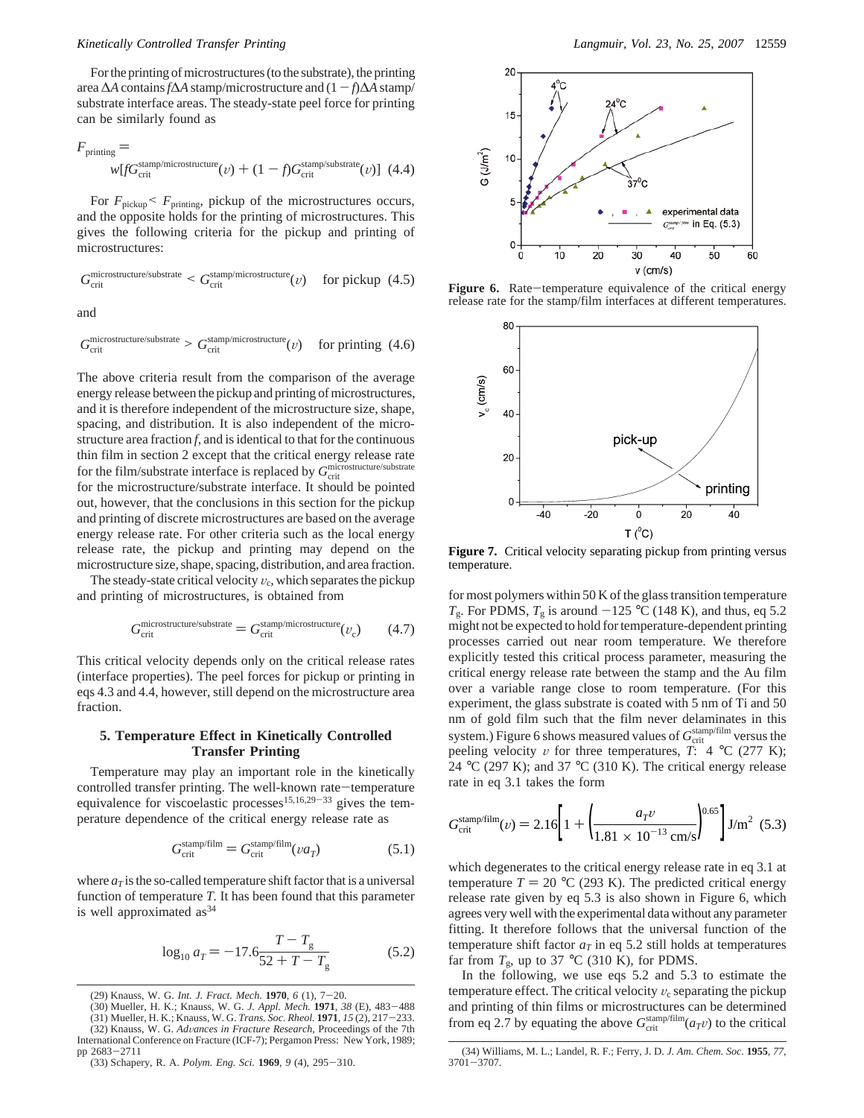For the printing of microstructures (to the substrate), the printing area <sup>∆</sup>*<sup>A</sup>* contains*f*∆*<sup>A</sup>* stamp/microstructure and (1-*f*)∆*<sup>A</sup>* stamp/ substrate interface areas. The steady-state peel force for printing can be similarly found as

$$
F_{\text{printing}} = \frac{W[fG_{\text{crit}}^{\text{stamp/microstructure}}(v) + (1 - f)G_{\text{crit}}^{\text{stamp/substrate}}(v)] (4.4)
$$

For  $F_{\text{pickup}}$ <sup><</sup>  $F_{\text{printing}}$ , pickup of the microstructures occurs, and the opposite holds for the printing of microstructures. This gives the following criteria for the pickup and printing of microstructures:

 $G_{\text{crit}}^{\text{microstructure/substrate}} < G_{\text{crit}}^{\text{stamp/microstructure}}(v)$  for pickup (4.5)

and

$$
G_{\text{crit}}^{\text{microstructure/substrate}} > G_{\text{crit}}^{\text{stamp/microstructure}}(\nu) \quad \text{for printing} \tag{4.6}
$$

The above criteria result from the comparison of the average energy release between the pickup and printing of microstructures, and it is therefore independent of the microstructure size, shape, spacing, and distribution. It is also independent of the microstructure area fraction *f*, and is identical to that for the continuous thin film in section 2 except that the critical energy release rate for the film/substrate interface is replaced by  $G<sub>crit</sub><sub>crit</sub>$ for the microstructure/substrate interface. It should be pointed out, however, that the conclusions in this section for the pickup and printing of discrete microstructures are based on the average energy release rate. For other criteria such as the local energy release rate, the pickup and printing may depend on the microstructure size, shape, spacing, distribution, and area fraction.

The steady-state critical velocity  $v_c$ , which separates the pickup and printing of microstructures, is obtained from

$$
G_{\text{crit}}^{\text{microstructure/substrate}} = G_{\text{crit}}^{\text{stamp/microstructure}}(v_{\text{c}}) \qquad (4.7)
$$

This critical velocity depends only on the critical release rates (interface properties). The peel forces for pickup or printing in eqs 4.3 and 4.4, however, still depend on the microstructure area fraction.

## **5. Temperature Effect in Kinetically Controlled Transfer Printing**

Temperature may play an important role in the kinetically controlled transfer printing. The well-known rate-temperature equivalence for viscoelastic processes<sup>15,16,29-33</sup> gives the temperature dependence of the critical energy release rate as

$$
G_{\rm crit}^{\rm stamp/film} = G_{\rm crit}^{\rm stamp/film} (va_T) \tag{5.1}
$$

where  $a<sub>T</sub>$  is the so-called temperature shift factor that is a universal function of temperature *T.* It has been found that this parameter is well approximated  $as^{34}$ 

$$
\log_{10} a_T = -17.6 \frac{T - T_g}{52 + T - T_g} \tag{5.2}
$$

(29) Knauss, W. G. *Int. J. Fract. Mech*. **<sup>1970</sup>**, *<sup>6</sup>* (1), 7-20. (30) Mueller, H. K.; Knauss, W. G. *J. Appl. Mech.* **<sup>1971</sup>**, *<sup>38</sup>* (E), 483-<sup>488</sup> (31) Mueller, H. K.; Knauss, W. G. *Trans. Soc. Rheol.* **<sup>1971</sup>**, *<sup>15</sup>* (2), 217-233. (32) Knauss, W. G. *Ad*V*ances in Fracture Research*, Proceedings of the 7th International Conference on Fracture (ICF-7); Pergamon Press: New York, 1989; pp 2683-<sup>2711</sup>



Figure 6. Rate-temperature equivalence of the critical energy release rate for the stamp/film interfaces at different temperatures.



Figure 7. Critical velocity separating pickup from printing versus temperature.

for most polymers within 50 K of the glass transition temperature  $T_g$ . For PDMS,  $T_g$  is around  $-125$  °C (148 K), and thus, eq 5.2 might not be expected to hold for temperature-dependent printing processes carried out near room temperature. We therefore explicitly tested this critical process parameter, measuring the critical energy release rate between the stamp and the Au film over a variable range close to room temperature. (For this experiment, the glass substrate is coated with 5 nm of Ti and 50 nm of gold film such that the film never delaminates in this system.) Figure 6 shows measured values of  $G_{\rm crit}^{\rm stamp/film}$  versus the peeling velocity  $v$  for three temperatures,  $\overline{T}$ : 4 °C (277 K); 24 °C (297 K); and 37 °C (310 K). The critical energy release rate in eq 3.1 takes the form

$$
G_{\text{crit}}^{\text{stamp/film}}(v) = 2.16 \left[ 1 + \left( \frac{a_T v}{1.81 \times 10^{-13} \text{ cm/s}} \right)^{0.65} \right] \text{J/m}^2 \tag{5.3}
$$

which degenerates to the critical energy release rate in eq 3.1 at temperature  $T = 20$  °C (293 K). The predicted critical energy release rate given by eq 5.3 is also shown in Figure 6, which agrees very well with the experimental data without any parameter fitting. It therefore follows that the universal function of the temperature shift factor  $a_T$  in eq 5.2 still holds at temperatures far from  $T_{\rm g}$ , up to 37 °C (310 K), for PDMS.

In the following, we use eqs 5.2 and 5.3 to estimate the temperature effect. The critical velocity  $v_c$  separating the pickup and printing of thin films or microstructures can be determined from eq 2.7 by equating the above  $G_{\text{crit}}^{\text{stamp/film}}(a_Tv)$  to the critical

<sup>(33)</sup> Schapery, R. A. *Polym. Eng. Sci.* **<sup>1969</sup>**, *<sup>9</sup>* (4), 295-310.

<sup>(34)</sup> Williams, M. L.; Landel, R. F.; Ferry, J. D. *J. Am. Chem. Soc.* **1955**, *77*, <sup>3701</sup>-3707.